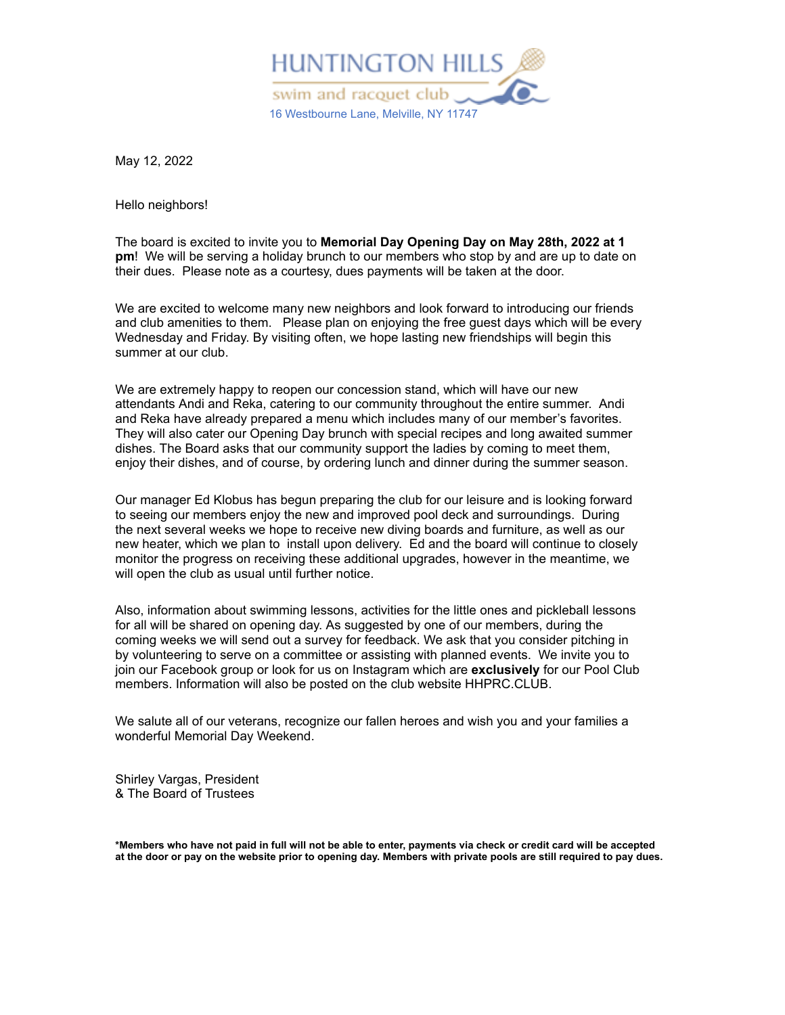

May 12, 2022

Hello neighbors!

The board is excited to invite you to **Memorial Day Opening Day on May 28th, 2022 at 1 pm**! We will be serving a holiday brunch to our members who stop by and are up to date on their dues. Please note as a courtesy, dues payments will be taken at the door.

We are excited to welcome many new neighbors and look forward to introducing our friends and club amenities to them. Please plan on enjoying the free guest days which will be every Wednesday and Friday. By visiting often, we hope lasting new friendships will begin this summer at our club.

We are extremely happy to reopen our concession stand, which will have our new attendants Andi and Reka, catering to our community throughout the entire summer. Andi and Reka have already prepared a menu which includes many of our member's favorites. They will also cater our Opening Day brunch with special recipes and long awaited summer dishes. The Board asks that our community support the ladies by coming to meet them, enjoy their dishes, and of course, by ordering lunch and dinner during the summer season.

Our manager Ed Klobus has begun preparing the club for our leisure and is looking forward to seeing our members enjoy the new and improved pool deck and surroundings. During the next several weeks we hope to receive new diving boards and furniture, as well as our new heater, which we plan to install upon delivery. Ed and the board will continue to closely monitor the progress on receiving these additional upgrades, however in the meantime, we will open the club as usual until further notice.

Also, information about swimming lessons, activities for the little ones and pickleball lessons for all will be shared on opening day. As suggested by one of our members, during the coming weeks we will send out a survey for feedback. We ask that you consider pitching in by volunteering to serve on a committee or assisting with planned events. We invite you to join our Facebook group or look for us on Instagram which are **exclusively** for our Pool Club members. Information will also be posted on the club website HHPRC.CLUB.

We salute all of our veterans, recognize our fallen heroes and wish you and your families a wonderful Memorial Day Weekend.

Shirley Vargas, President & The Board of Trustees

\*Members who have not paid in full will not be able to enter, payments via check or credit card will be accepted at the door or pay on the website prior to opening day. Members with private pools are still required to pay dues.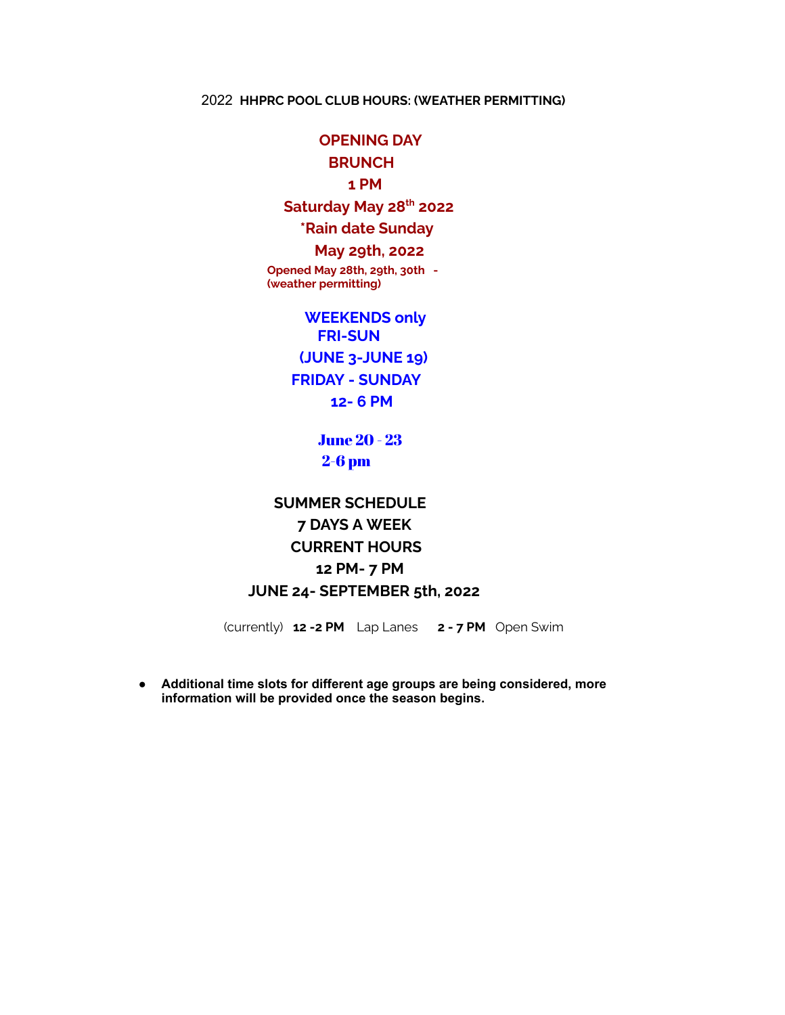# **OPENING DAY**

# **BRUNCH**

## **1 PM**

## **Saturday May 28 th 2022**

## **\*Rain date Sunday**

#### **May 29th, 2022**

**Opened May 28th, 29th, 30th - (weather permitting)**

> **WEEKENDS only FRI-SUN (JUNE 3-JUNE 19) FRIDAY - SUNDAY 12- 6 PM**

> > June 20 - 23 2-6 pm

# **SUMMER SCHEDULE 7 DAYS A WEEK CURRENT HOURS 12 PM- 7 PM JUNE 24- SEPTEMBER 5th, 2022**

(currently) **12 -2 PM** Lap Lanes **2 - 7 PM** Open Swim

**● Additional time slots for different age groups are being considered, more information will be provided once the season begins.**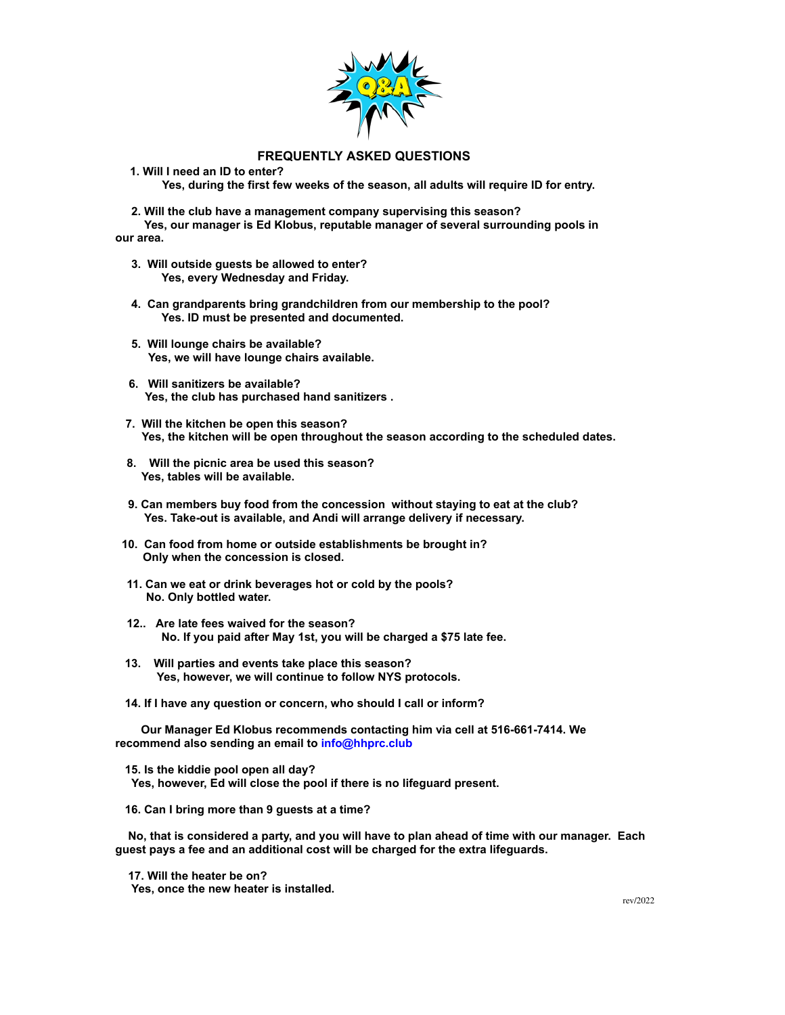

#### **FREQUENTLY ASKED QUESTIONS**

**1. Will I need an ID to enter?**

 **Yes, during the first few weeks of the season, all adults will require ID for entry.**

 **2. Will the club have a management company supervising this season?**

**Yes, our manager is Ed Klobus, reputable manager of several surrounding pools in our area.** 

- **3. Will outside guests be allowed to enter? Yes, every Wednesday and Friday.**
- **4. Can grandparents bring grandchildren from our membership to the pool? Yes. ID must be presented and documented.**
- **5. Will lounge chairs be available? Yes, we will have lounge chairs available.**
- **6. Will sanitizers be available? Yes, the club has purchased hand sanitizers .**
- **7. Will the kitchen be open this season? Yes, the kitchen will be open throughout the season according to the scheduled dates.**
- **8. Will the picnic area be used this season? Yes, tables will be available.**
- **9. Can members buy food from the concession without staying to eat at the club? Yes. Take-out is available, and Andi will arrange delivery if necessary.**
- **10. Can food from home or outside establishments be brought in? Only when the concession is closed.**
- **11. Can we eat or drink beverages hot or cold by the pools? No. Only bottled water.**
- **12.. Are late fees waived for the season? No. If you paid after May 1st, you will be charged a \$75 late fee.**
- **13. Will parties and events take place this season? Yes, however, we will continue to follow NYS protocols.**
- **14. If I have any question or concern, who should I call or inform?**

**Our Manager Ed Klobus recommends contacting him via cell at 516-661-7414. We recommend also sending an email to info@hhprc.club** 

**15. Is the kiddie pool open all day? Yes, however, Ed will close the pool if there is no lifeguard present.**

**16. Can I bring more than 9 guests at a time?**

**No, that is considered a party, and you will have to plan ahead of time with our manager. Each guest pays a fee and an additional cost will be charged for the extra lifeguards.**

**17. Will the heater be on? Yes, once the new heater is installed.**

rev/2022